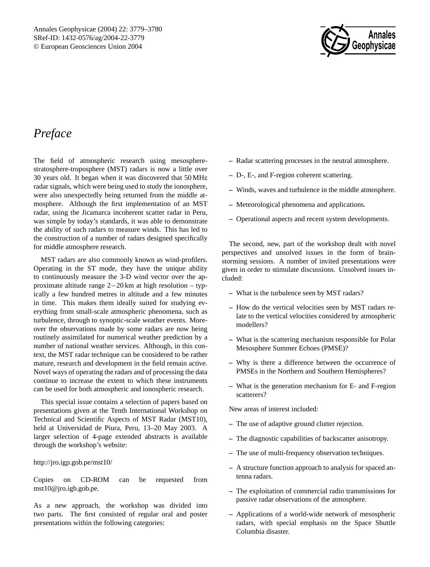

## *Preface*

The field of atmospheric research using mesospherestratosphere-troposphere (MST) radars is now a little over 30 years old. It began when it was discovered that 50 MHz radar signals, which were being used to study the ionosphere, were also unexpectedly being returned from the middle atmosphere. Although the first implementation of an MST radar, using the Jicamarca incoherent scatter radar in Peru, was simple by today's standards, it was able to demonstrate the ability of such radars to measure winds. This has led to the construction of a number of radars designed specifically for middle atmosphere research.

MST radars are also commonly known as wind-profilers. Operating in the ST mode, they have the unique ability to continuously measure the 3-D wind vector over the approximate altitude range 2−20 km at high resolution – typically a few hundred metres in altitude and a few minutes in time. This makes them ideally suited for studying everything from small-scale atmospheric phenomena, such as turbulence, through to synoptic-scale weather events. Moreover the observations made by some radars are now being routinely assimilated for numerical weather prediction by a number of national weather services. Although, in this context, the MST radar technique can be considered to be rather mature, research and development in the field remain active. Novel ways of operating the radars and of processing the data continue to increase the extent to which these instruments can be used for both atmospheric and ionospheric research.

This special issue contains a selection of papers based on presentations given at the Tenth International Workshop on Technical and Scientific Aspects of MST Radar (MST10), held at Universidad de Piura, Peru, 13–20 May 2003. A larger selection of 4-page extended abstracts is available through the workshop's website:

http://jro.igp.gob.pe/mst10/

Copies on CD-ROM can be requested from mst10@jro.igb.gob.pe.

As a new approach, the workshop was divided into two parts. The first consisted of regular oral and poster presentations within the following categories:

- **–** Radar scattering processes in the neutral atmosphere.
- **–** D-, E-, and F-region coherent scattering.
- **–** Winds, waves and turbulence in the middle atmosphere.
- **–** Meteorological phenomena and applications.
- **–** Operational aspects and recent system developments.

The second, new, part of the workshop dealt with novel perspectives and unsolved issues in the form of brainstorming sessions. A number of invited presentations were given in order to stimulate discussions. Unsolved issues included:

- **–** What is the turbulence seen by MST radars?
- **–** How do the vertical velocities seen by MST radars relate to the vertical velocities considered by atmospheric modellers?
- **–** What is the scattering mechanism responsible for Polar Mesosphere Summer Echoes (PMSE)?
- **–** Why is there a difference between the occurrence of PMSEs in the Northern and Southern Hemispheres?
- **–** What is the generation mechanism for E- and F-region scatterers?

New areas of interest included:

- **–** The use of adaptive ground clutter rejection.
- **–** The diagnostic capabilities of backscatter anisotropy.
- **–** The use of multi-frequency observation techniques.
- **–** A structure function approach to analysis for spaced antenna radars.
- **–** The exploitation of commercial radio transmissions for passive radar observations of the atmosphere.
- **–** Applications of a world-wide network of mesospheric radars, with special emphasis on the Space Shuttle Columbia disaster.